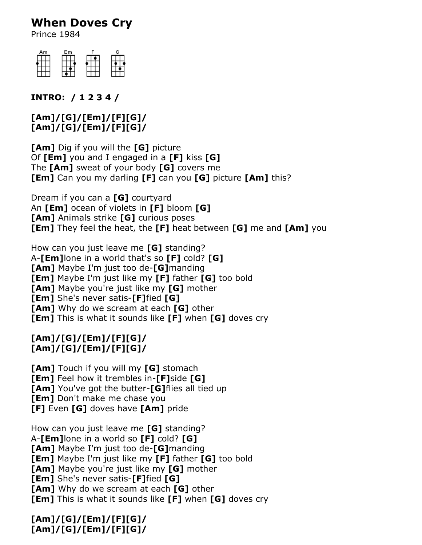# **When Doves Cry**

Prince 1984



### **INTRO: / 1 2 3 4 /**

#### **[Am]/[G]/[Em]/[F][G]/ [Am]/[G]/[Em]/[F][G]/**

**[Am]** Dig if you will the **[G]** picture Of **[Em]** you and I engaged in a **[F]** kiss **[G]** The **[Am]** sweat of your body **[G]** covers me **[Em]** Can you my darling **[F]** can you **[G]** picture **[Am]** this?

Dream if you can a **[G]** courtyard An **[Em]** ocean of violets in **[F]** bloom **[G] [Am]** Animals strike **[G]** curious poses **[Em]** They feel the heat, the **[F]** heat between **[G]** me and **[Am]** you

How can you just leave me **[G]** standing? A-**[Em]**lone in a world that's so **[F]** cold? **[G] [Am]** Maybe I'm just too de-**[G]**manding **[Em]** Maybe I'm just like my **[F]** father **[G]** too bold **[Am]** Maybe you're just like my **[G]** mother **[Em]** She's never satis-**[F]**fied **[G] [Am]** Why do we scream at each **[G]** other **[Em]** This is what it sounds like **[F]** when **[G]** doves cry

#### **[Am]/[G]/[Em]/[F][G]/ [Am]/[G]/[Em]/[F][G]/**

**[Am]** Touch if you will my **[G]** stomach **[Em]** Feel how it trembles in-**[F]**side **[G] [Am]** You've got the butter-**[G]**flies all tied up **[Em]** Don't make me chase you **[F]** Even **[G]** doves have **[Am]** pride

How can you just leave me **[G]** standing? A-**[Em]**lone in a world so **[F]** cold? **[G] [Am]** Maybe I'm just too de-**[G]**manding **[Em]** Maybe I'm just like my **[F]** father **[G]** too bold **[Am]** Maybe you're just like my **[G]** mother **[Em]** She's never satis-**[F]**fied **[G] [Am]** Why do we scream at each **[G]** other **[Em]** This is what it sounds like **[F]** when **[G]** doves cry

## **[Am]/[G]/[Em]/[F][G]/ [Am]/[G]/[Em]/[F][G]/**